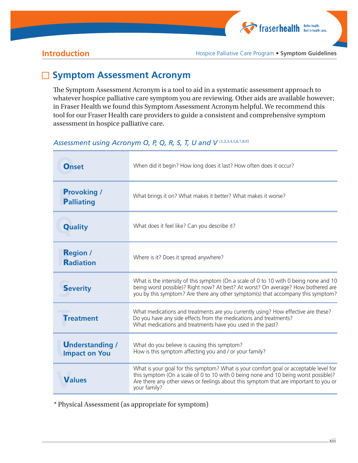

**Introduction Introduction Hospice Palliative Care Program • Symptom Guidelines** 

# □ Symptom Assessment Acronym

The Symptom Assessment Acronym is a tool to aid in a systematic assessment approach to whatever hospice palliative care symptom you are reviewing. Other aids are available however; in Fraser Health we found this Symptom Assessment Acronym helpful. We recommend this tool for our Fraser Health care providers to guide a consistent and comprehensive symptom assessment in hospice palliative care.

### Assessment using Acronym O, P, Q, R, S, T, U and V<sup>(1,2,3,4,5,6,7,8,9)</sup>

| <b>Onset</b>                                   | When did it begin? How long does it last? How often does it occur?                                                                                                                                                                                                                    |
|------------------------------------------------|---------------------------------------------------------------------------------------------------------------------------------------------------------------------------------------------------------------------------------------------------------------------------------------|
| <b>Provoking /</b><br><b>Palliating</b>        | What brings it on? What makes it better? What makes it worse?                                                                                                                                                                                                                         |
| <b>Quality</b>                                 | What does it feel like? Can you describe it?                                                                                                                                                                                                                                          |
| <b>Region /</b><br><b>Radiation</b>            | Where is it? Does it spread anywhere?                                                                                                                                                                                                                                                 |
| <b>Severity</b>                                | What is the intensity of this symptom (On a scale of 0 to 10 with 0 being none and 10<br>being worst possible)? Right now? At best? At worst? On average? How bothered are<br>you by this symptom? Are there any other symptom(s) that accompany this symptom?                        |
| <b>Treatment</b>                               | What medications and treatments are you currently using? How effective are these?<br>Do you have any side effects from the medications and treatments?<br>What medications and treatments have you used in the past?                                                                  |
| <b>Understanding /</b><br><b>Impact on You</b> | What do you believe is causing this symptom?<br>How is this symptom affecting you and / or your family?                                                                                                                                                                               |
| <b>Values</b>                                  | What is your goal for this symptom? What is your comfort goal or acceptable level for<br>this symptom (On a scale of 0 to 10 with 0 being none and 10 being worst possible)?<br>Are there any other views or feelings about this symptom that are important to you or<br>your family? |

\* Physical Assessment (as appropriate for symptom)